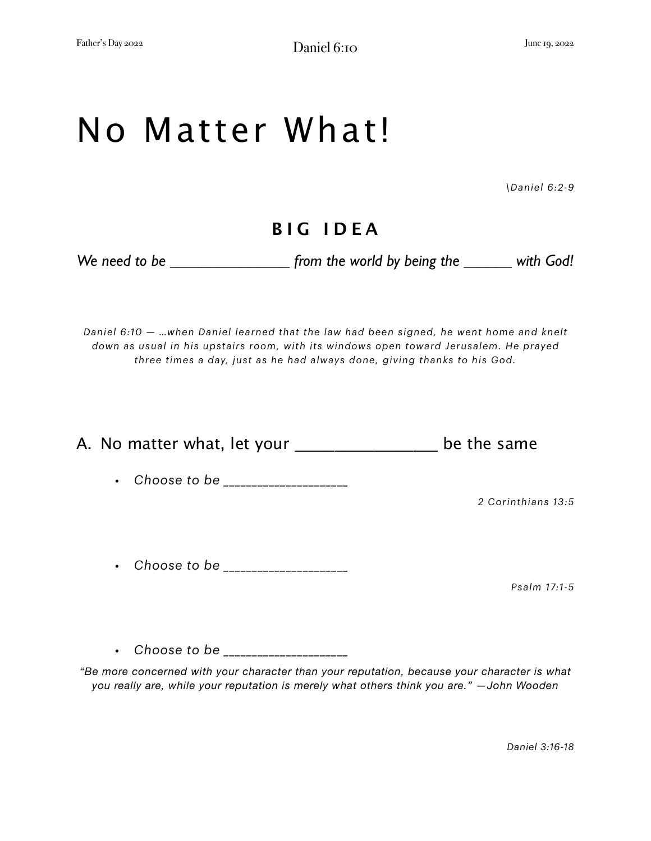## No Matter What!

*\Daniel 6:2-9*

## **BIG IDEA**

We need to be \_\_\_\_\_\_\_\_\_\_\_\_\_\_\_\_\_\_ from the world by being the \_\_\_\_\_\_\_ with God!

*Daniel 6:10 — …when Daniel learned that the law had been signed, he went home and knelt down as usual in his upstairs room, with its windows open toward Jerusalem. He prayed three times a day, just as he had always done, giving thanks to his God.*

A. No matter what, let your be the same *• Choose to be \_\_\_\_\_\_\_\_\_\_\_\_\_\_\_\_\_\_\_\_\_\_ 2 Corinthians 13:5 • Choose to be \_\_\_\_\_\_\_\_\_\_\_\_\_\_\_\_\_\_\_\_\_\_ Psalm 17:1-5 • Choose to be \_\_\_\_\_\_\_\_\_\_\_\_\_\_\_\_\_\_\_\_\_\_*

*"Be more concerned with your character than your reputation, because your character is what you really are, while your reputation is merely what others think you are." —John Wooden* 

*Daniel 3:16-18*